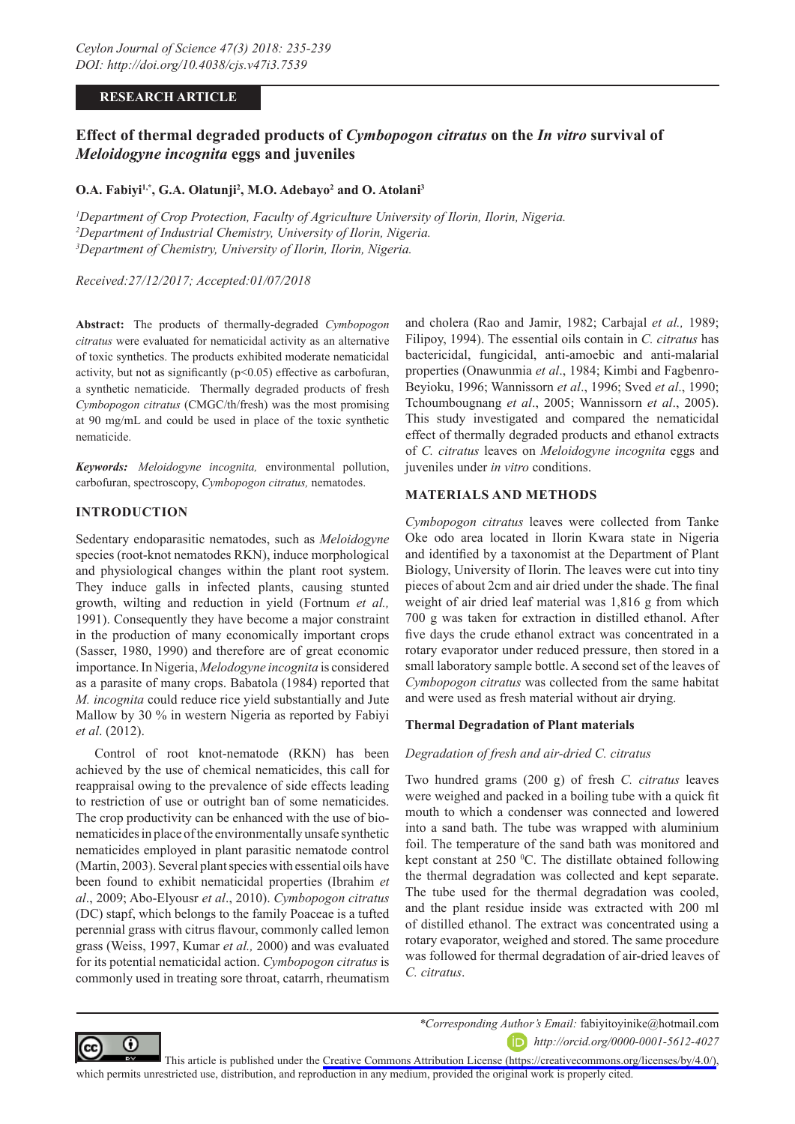#### **RESEARCH ARTICLE**

# **Effect of thermal degraded products of** *Cymbopogon citratus* **on the** *In vitro* **survival of**  *Meloidogyne incognita* **eggs and juveniles**

## **O.A. Fabiyi1,\*, G.A. Olatunji2 , M.O. Adebayo2 and O. Atolani3**

*1 Department of Crop Protection, Faculty of Agriculture University of Ilorin, Ilorin, Nigeria. 2 Department of Industrial Chemistry, University of Ilorin, Nigeria. 3 Department of Chemistry, University of Ilorin, Ilorin, Nigeria.*

*Received:27/12/2017; Accepted:01/07/2018*

**Abstract:** The products of thermally-degraded *Cymbopogon citratus* were evaluated for nematicidal activity as an alternative of toxic synthetics. The products exhibited moderate nematicidal activity, but not as significantly  $(p<0.05)$  effective as carbofuran, a synthetic nematicide. Thermally degraded products of fresh *Cymbopogon citratus* (CMGC/th/fresh) was the most promising at 90 mg/mL and could be used in place of the toxic synthetic nematicide.

*Keywords: Meloidogyne incognita,* environmental pollution, carbofuran, spectroscopy, *Cymbopogon citratus,* nematodes.

#### **INTRODUCTION**

Sedentary endoparasitic nematodes, such as *Meloidogyne* species (root-knot nematodes RKN), induce morphological and physiological changes within the plant root system. They induce galls in infected plants, causing stunted growth, wilting and reduction in yield (Fortnum *et al.,* 1991). Consequently they have become a major constraint in the production of many economically important crops (Sasser, 1980, 1990) and therefore are of great economic importance. In Nigeria, *Melodogyne incognita* is considered as a parasite of many crops. Babatola (1984) reported that *M. incognita* could reduce rice yield substantially and Jute Mallow by 30 % in western Nigeria as reported by Fabiyi *et al*. (2012).

Control of root knot-nematode (RKN) has been achieved by the use of chemical nematicides, this call for reappraisal owing to the prevalence of side effects leading to restriction of use or outright ban of some nematicides. The crop productivity can be enhanced with the use of bionematicides in place of the environmentally unsafe synthetic nematicides employed in plant parasitic nematode control (Martin, 2003). Several plant species with essential oils have been found to exhibit nematicidal properties (Ibrahim *et al*., 2009; Abo-Elyousr *et al*., 2010). *Cymbopogon citratus*  (DC) stapf, which belongs to the family Poaceae is a tufted perennial grass with citrus flavour, commonly called lemon grass (Weiss, 1997, Kumar *et al.,* 2000) and was evaluated for its potential nematicidal action. *Cymbopogon citratus* is commonly used in treating sore throat, catarrh, rheumatism

and cholera (Rao and Jamir, 1982; Carbajal *et al.,* 1989; Filipoy, 1994). The essential oils contain in *C. citratus* has bactericidal, fungicidal, anti-amoebic and anti-malarial properties (Onawunmia *et al*., 1984; Kimbi and Fagbenro-Beyioku, 1996; Wannissorn *et al*., 1996; Sved *et al*., 1990; Tchoumbougnang *et al*., 2005; Wannissorn *et al*., 2005). This study investigated and compared the nematicidal effect of thermally degraded products and ethanol extracts of *C. citratus* leaves on *Meloidogyne incognita* eggs and juveniles under *in vitro* conditions.

### **MATERIALS AND METHODS**

*Cymbopogon citratus* leaves were collected from Tanke Oke odo area located in Ilorin Kwara state in Nigeria and identified by a taxonomist at the Department of Plant Biology, University of Ilorin. The leaves were cut into tiny pieces of about 2cm and air dried under the shade. The final weight of air dried leaf material was 1,816 g from which 700 g was taken for extraction in distilled ethanol. After five days the crude ethanol extract was concentrated in a rotary evaporator under reduced pressure, then stored in a small laboratory sample bottle. A second set of the leaves of *Cymbopogon citratus* was collected from the same habitat and were used as fresh material without air drying.

### **Thermal Degradation of Plant materials**

### *Degradation of fresh and air-dried C. citratus*

Two hundred grams (200 g) of fresh *C. citratus* leaves were weighed and packed in a boiling tube with a quick fit mouth to which a condenser was connected and lowered into a sand bath. The tube was wrapped with aluminium foil. The temperature of the sand bath was monitored and kept constant at 250 °C. The distillate obtained following the thermal degradation was collected and kept separate. The tube used for the thermal degradation was cooled, and the plant residue inside was extracted with 200 ml of distilled ethanol. The extract was concentrated using a rotary evaporator, weighed and stored. The same procedure was followed for thermal degradation of air-dried leaves of *C. citratus*.



*\*Corresponding Author's Email:* fabiyitoyinike@hotmail.com *http://orcid.org/0000-0001-5612-4027*

This article is published under the [Creative Commons Attribution License \(https://creativecommons.org/licenses/by/4.0/\)](https://creativecommons.org/licenses/by/4.0/), which permits unrestricted use, distribution, and reproduction in any medium, provided the original work is properly cited.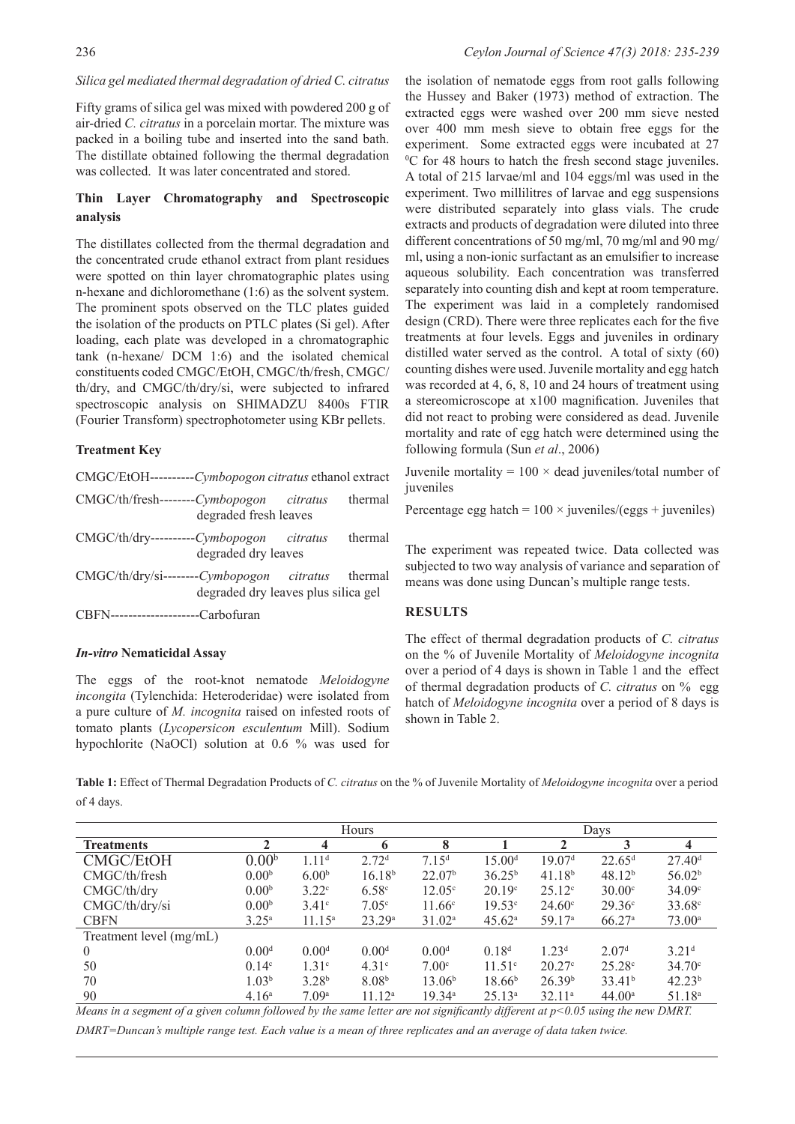## *Silica gel mediated thermal degradation of dried C. citratus*

Fifty grams of silica gel was mixed with powdered 200 g of air-dried *C. citratus* in a porcelain mortar. The mixture was packed in a boiling tube and inserted into the sand bath. The distillate obtained following the thermal degradation was collected. It was later concentrated and stored.

## **Thin Layer Chromatography and Spectroscopic analysis**

The distillates collected from the thermal degradation and the concentrated crude ethanol extract from plant residues were spotted on thin layer chromatographic plates using n-hexane and dichloromethane (1:6) as the solvent system. The prominent spots observed on the TLC plates guided the isolation of the products on PTLC plates (Si gel). After loading, each plate was developed in a chromatographic tank (n-hexane/ DCM 1:6) and the isolated chemical constituents coded CMGC/EtOH, CMGC/th/fresh, CMGC/ th/dry, and CMGC/th/dry/si, were subjected to infrared spectroscopic analysis on SHIMADZU 8400s FTIR (Fourier Transform) spectrophotometer using KBr pellets.

## **Treatment Key**

| CMGC/EtOH----------Cymbopogon citratus ethanol extract |                                     |         |
|--------------------------------------------------------|-------------------------------------|---------|
| $CMGC/th/fresh$ ------- $Cymbopogon$ citratus          | degraded fresh leaves               | thermal |
| CMGC/th/dry----------Cymbopogon citratus               | degraded dry leaves                 | thermal |
| CMGC/th/dry/si--------Cymbopogon citratus thermal      | degraded dry leaves plus silica gel |         |
| $CBFN$ ----------------------Carbofuran                |                                     |         |

# *In-vitro* **Nematicidal Assay**

The eggs of the root-knot nematode *Meloidogyne incongita* (Tylenchida: Heteroderidae) were isolated from a pure culture of *M. incognita* raised on infested roots of tomato plants (*Lycopersicon esculentum* Mill). Sodium hypochlorite (NaOCl) solution at 0.6 % was used for

the isolation of nematode eggs from root galls following the Hussey and Baker (1973) method of extraction. The extracted eggs were washed over 200 mm sieve nested over 400 mm mesh sieve to obtain free eggs for the experiment. Some extracted eggs were incubated at 27 0 C for 48 hours to hatch the fresh second stage juveniles. A total of 215 larvae/ml and 104 eggs/ml was used in the experiment. Two millilitres of larvae and egg suspensions were distributed separately into glass vials. The crude extracts and products of degradation were diluted into three different concentrations of 50 mg/ml, 70 mg/ml and 90 mg/ ml, using a non-ionic surfactant as an emulsifier to increase aqueous solubility. Each concentration was transferred separately into counting dish and kept at room temperature. The experiment was laid in a completely randomised design (CRD). There were three replicates each for the five treatments at four levels. Eggs and juveniles in ordinary distilled water served as the control. A total of sixty (60) counting dishes were used. Juvenile mortality and egg hatch was recorded at 4, 6, 8, 10 and 24 hours of treatment using a stereomicroscope at x100 magnification. Juveniles that did not react to probing were considered as dead. Juvenile mortality and rate of egg hatch were determined using the following formula (Sun *et al*., 2006)

Juvenile mortality =  $100 \times$  dead juveniles/total number of iuveniles

Percentage egg hatch =  $100 \times$  juveniles/(eggs + juveniles)

The experiment was repeated twice. Data collected was subjected to two way analysis of variance and separation of means was done using Duncan's multiple range tests.

### **RESULTS**

The effect of thermal degradation products of *C. citratus* on the % of Juvenile Mortality of *Meloidogyne incognita* over a period of 4 days is shown in Table 1 and the effect of thermal degradation products of *C. citratus* on % egg hatch of *Meloidogyne incognita* over a period of 8 days is shown in Table 2.

**Table 1:** Effect of Thermal Degradation Products of *C. citratus* on the % of Juvenile Mortality of *Meloidogyne incognita* over a period of 4 days.

|                         |                   | Hours             |                    |                    | Days               |                    |                      |                    |
|-------------------------|-------------------|-------------------|--------------------|--------------------|--------------------|--------------------|----------------------|--------------------|
| <b>Treatments</b>       | 2                 | 4                 | 6                  | 8                  |                    | 2                  | 3                    |                    |
| <b>CMGC/EtOH</b>        | 0.00 <sup>b</sup> | 1.11 <sup>d</sup> | 2.72 <sup>d</sup>  | 7.15 <sup>d</sup>  | 15.00 <sup>d</sup> | 19.07 <sup>d</sup> | $22.65$ <sup>d</sup> | 27.40 <sup>d</sup> |
| CMGC/th/fresh           | 0.00 <sup>b</sup> | 6.00 <sup>b</sup> | 16.18 <sup>b</sup> | 22.07 <sup>b</sup> | $36.25^{b}$        | 41.18 <sup>b</sup> | 48.12 <sup>b</sup>   | 56.02 <sup>b</sup> |
| CMGC/th/dry             | 0.00 <sup>b</sup> | 3.22 <sup>c</sup> | 6.58 <sup>c</sup>  | $12.05^{\circ}$    | 20.19c             | 25.12c             | 30.00c               | 34.09c             |
| CMGC/th/dry/si          | 0.00 <sup>b</sup> | 3.41c             | 7.05 <sup>c</sup>  | $11.66^{\circ}$    | 19.53c             | $24.60^{\circ}$    | $29.36^{\circ}$      | $33.68^{\circ}$    |
| <b>CBFN</b>             | $3.25^{\rm a}$    | $11.15^a$         | 23.29a             | 31.02 <sup>a</sup> | $45.62^{\circ}$    | 59.17 <sup>a</sup> | 66.27a               | $73.00^{\circ}$    |
| Treatment level (mg/mL) |                   |                   |                    |                    |                    |                    |                      |                    |
| $\theta$                | 0.00 <sup>d</sup> | 0.00 <sup>d</sup> | 0.00 <sup>d</sup>  | 0.00 <sup>d</sup>  | 0.18 <sup>d</sup>  | 1.23 <sup>d</sup>  | 2.07 <sup>d</sup>    | 3.21 <sup>d</sup>  |
| 50                      | $0.14^{\circ}$    | 1.31 <sup>c</sup> | 4.31c              | 7.00 <sup>c</sup>  | 11.51 <sup>c</sup> | 20.27c             | 25.28c               | $34.70^{\circ}$    |
| 70                      | 1.03 <sup>b</sup> | 3.28 <sup>b</sup> | 8.08 <sup>b</sup>  | 13.06 <sup>b</sup> | 18.66 <sup>b</sup> | 26.39 <sup>b</sup> | 33.41 <sup>b</sup>   | 42.23 <sup>b</sup> |
| 90                      | 4.16 <sup>a</sup> | 7.09 <sup>a</sup> | $11.12^a$          | 19.34 <sup>a</sup> | $25.13^a$          | 32.11 <sup>a</sup> | 44.00 <sup>a</sup>   | 51.18 <sup>a</sup> |

*Means in a segment of a given column followed by the same letter are not significantly different at p<0.05 using the new DMRT. DMRT=Duncan's multiple range test. Each value is a mean of three replicates and an average of data taken twice.*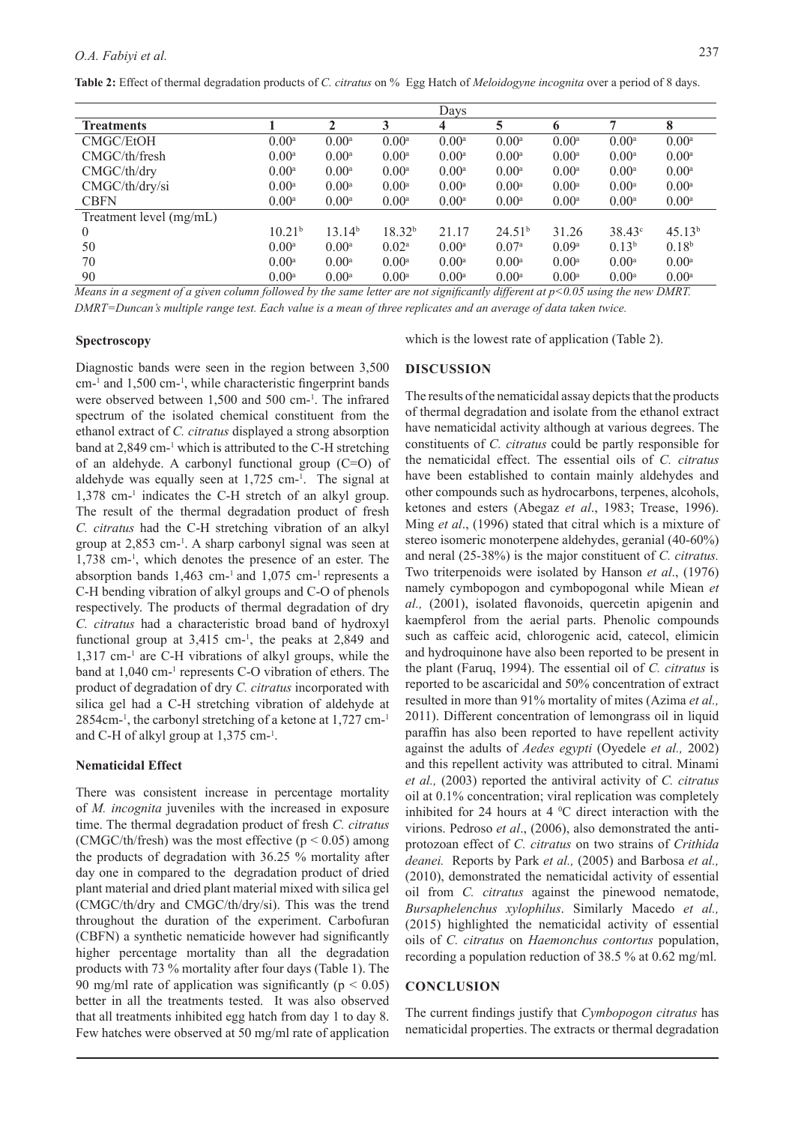**Table 2:** Effect of thermal degradation products of *C. citratus* on % Egg Hatch of *Meloidogyne incognita* over a period of 8 days.

| Davs                                                                                                        |  |              |                       |                         |
|-------------------------------------------------------------------------------------------------------------|--|--------------|-----------------------|-------------------------|
| 5<br>3<br>⇁<br>າ<br>4<br>6                                                                                  |  |              |                       | <b>Treatments</b>       |
| $0.00^{\rm a}$<br>$0.00^{\rm a}$<br>$0.00^{\rm a}$<br>$0.00^{\rm a}$<br>$0.00^{\rm a}$<br>$0.00^{\rm a}$    |  |              | $0.00^{\rm a}$        | CMGC/EtOH               |
| $0.00^{\rm a}$<br>$0.00^{\rm a}$<br>$0.00^{\rm a}$<br>$0.00^{\rm a}$<br>$0.00^{\rm a}$<br>$0.00^{\rm a}$    |  |              | $0.00^{\rm a}$        | CMGC/th/fresh           |
| $0.00^{\rm a}$<br>$0.00^{\rm a}$<br>$0.00^{\rm a}$<br>$0.00^{\rm a}$<br>$0.00^{\rm a}$<br>$0.00^{a}$        |  |              | 0.00 <sup>a</sup>     | CMGC/th/dry             |
| $0.00^{\rm a}$<br>$0.00^{\rm a}$<br>$0.00^{\rm a}$<br>$0.00^{\rm a}$<br>$0.00^{\rm a}$<br>$0.00^{\rm a}$    |  |              | $0.00^{\rm a}$        | CMGC/th/dry/si          |
| $0.00^{\rm a}$<br>$0.00^{\rm a}$<br>$0.00^{\rm a}$<br>$0.00^{\rm a}$<br>0.00 <sup>a</sup><br>$0.00^{\rm a}$ |  |              | $0.00^{\rm a}$        | <b>CBFN</b>             |
|                                                                                                             |  |              |                       | Treatment level (mg/mL) |
| 18.32 <sup>b</sup><br>13.14 <sup>b</sup><br>24.51 <sup>b</sup><br>38.43 <sup>c</sup><br>21.17<br>31.26      |  |              | 10.21 <sup>b</sup>    | $\theta$                |
| 0.13 <sup>b</sup><br>$0.02^{\rm a}$<br>$0.00^a$<br>0.07 <sup>a</sup><br>0.09 <sup>a</sup><br>$0.00^a$       |  |              | $0.00^a$              | 50                      |
| $0.00^a$<br>$0.00^{\rm a}$<br>$0.00^a$<br>$0.00^{\rm a}$<br>$0.00^a$<br>$0.00^a$                            |  |              | $0.00^a$              | 70                      |
| $0.00^a$<br>$0.00^{\rm a}$<br>$0.00^{\rm a}$<br>$0.00^{\rm a}$<br>$0.00^{\rm a}$<br>$0.00^a$                |  |              | $0.00^a$              | 90                      |
| $\mathbf{v}$ . $\alpha$<br>$\sim$ $\sim$ $\sim$<br>$\sim$                                                   |  | $\mathbf{v}$ | 2.77<br>$\mathcal{L}$ | $\sim$<br>$\sim$        |

*Means in a segment of a given column followed by the same letter are not significantly different at p<0.05 using the new DMRT. DMRT=Duncan's multiple range test. Each value is a mean of three replicates and an average of data taken twice.* 

#### **Spectroscopy**

Diagnostic bands were seen in the region between 3,500 cm-1 and 1,500 cm-<sup>1</sup> , while characteristic fingerprint bands were observed between 1,500 and 500 cm-<sup>1</sup> . The infrared spectrum of the isolated chemical constituent from the ethanol extract of *C. citratus* displayed a strong absorption band at 2,849 cm<sup>-1</sup> which is attributed to the C-H stretching of an aldehyde. A carbonyl functional group (C=O) of aldehyde was equally seen at  $1,725$  cm $^{-1}$ . The signal at 1,378 cm-1 indicates the C-H stretch of an alkyl group. The result of the thermal degradation product of fresh *C. citratus* had the C-H stretching vibration of an alkyl group at 2,853 cm-<sup>1</sup> . A sharp carbonyl signal was seen at 1,738 cm-1 , which denotes the presence of an ester. The absorption bands  $1,463$  cm<sup>-1</sup> and  $1,075$  cm<sup>-1</sup> represents a C-H bending vibration of alkyl groups and C-O of phenols respectively. The products of thermal degradation of dry *C. citratus* had a characteristic broad band of hydroxyl functional group at  $3,415$  cm<sup>-1</sup>, the peaks at  $2,849$  and 1,317 cm-1 are C-H vibrations of alkyl groups, while the band at 1,040 cm-<sup>1</sup> represents C-O vibration of ethers. The product of degradation of dry *C. citratus* incorporated with silica gel had a C-H stretching vibration of aldehyde at 2854cm-<sup>1</sup> , the carbonyl stretching of a ketone at 1,727 cm-1 and C-H of alkyl group at 1,375 cm-<sup>1</sup> .

#### **Nematicidal Effect**

There was consistent increase in percentage mortality of *M. incognita* juveniles with the increased in exposure time. The thermal degradation product of fresh *C. citratus*  (CMGC/th/fresh) was the most effective ( $p < 0.05$ ) among the products of degradation with 36.25 % mortality after day one in compared to the degradation product of dried plant material and dried plant material mixed with silica gel (CMGC/th/dry and CMGC/th/dry/si). This was the trend throughout the duration of the experiment. Carbofuran (CBFN) a synthetic nematicide however had significantly higher percentage mortality than all the degradation products with 73 % mortality after four days (Table 1). The 90 mg/ml rate of application was significantly ( $p < 0.05$ ) better in all the treatments tested. It was also observed that all treatments inhibited egg hatch from day 1 to day 8. Few hatches were observed at 50 mg/ml rate of application

which is the lowest rate of application (Table 2).

#### **DISCUSSION**

The results of the nematicidal assay depicts that the products of thermal degradation and isolate from the ethanol extract have nematicidal activity although at various degrees. The constituents of *C. citratus* could be partly responsible for the nematicidal effect. The essential oils of *C. citratus* have been established to contain mainly aldehydes and other compounds such as hydrocarbons, terpenes, alcohols, ketones and esters (Abegaz *et al*., 1983; Trease, 1996). Ming *et al*., (1996) stated that citral which is a mixture of stereo isomeric monoterpene aldehydes, geranial (40-60%) and neral (25-38%) is the major constituent of *C. citratus.*  Two triterpenoids were isolated by Hanson *et al*., (1976) namely cymbopogon and cymbopogonal while Miean *et al.,* (2001), isolated flavonoids, quercetin apigenin and kaempferol from the aerial parts. Phenolic compounds such as caffeic acid, chlorogenic acid, catecol, elimicin and hydroquinone have also been reported to be present in the plant (Faruq, 1994). The essential oil of *C. citratus* is reported to be ascaricidal and 50% concentration of extract resulted in more than 91% mortality of mites (Azima *et al.,*  2011). Different concentration of lemongrass oil in liquid paraffin has also been reported to have repellent activity against the adults of *Aedes egypti* (Oyedele *et al.,* 2002) and this repellent activity was attributed to citral. Minami *et al.,* (2003) reported the antiviral activity of *C. citratus* oil at 0.1% concentration; viral replication was completely inhibited for 24 hours at 4  $\mathrm{^0C}$  direct interaction with the virions. Pedroso *et al*., (2006), also demonstrated the antiprotozoan effect of *C. citratus* on two strains of *Crithida deanei.* Reports by Park *et al.,* (2005) and Barbosa *et al.,* (2010), demonstrated the nematicidal activity of essential oil from *C. citratus* against the pinewood nematode, *Bursaphelenchus xylophilus*. Similarly Macedo *et al.,* (2015) highlighted the nematicidal activity of essential oils of *C. citratus* on *Haemonchus contortus* population, recording a population reduction of 38.5 % at 0.62 mg/ml.

#### **CONCLUSION**

The current findings justify that *Cymbopogon citratus* has nematicidal properties. The extracts or thermal degradation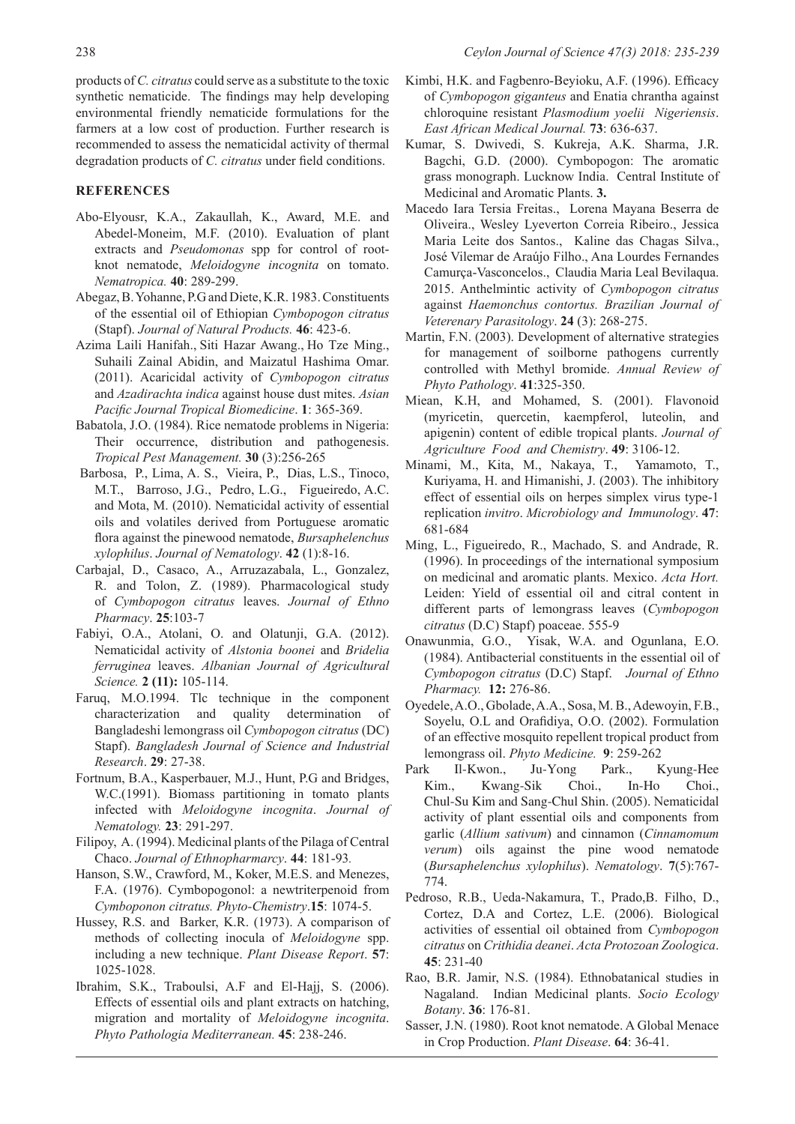products of *C. citratus* could serve as a substitute to the toxic synthetic nematicide. The findings may help developing environmental friendly nematicide formulations for the farmers at a low cost of production. Further research is recommended to assess the nematicidal activity of thermal degradation products of *C. citratus* under field conditions.

#### **REFERENCES**

- Abo-Elyousr, K.A., Zakaullah, K., Award, M.E. and Abedel-Moneim, M.F. (2010). Evaluation of plant extracts and *Pseudomonas* spp for control of rootknot nematode, *Meloidogyne incognita* on tomato. *Nematropica.* **40**: 289-299.
- Abegaz, B. Yohanne, P.G and Diete, K.R. 1983. Constituents of the essential oil of Ethiopian *Cymbopogon citratus* (Stapf). *Journal of Natural Products.* **46**: 423-6.
- Azima Laili Hanifah., Siti Hazar Awang., Ho Tze Ming., Suhaili Zainal Abidin, and Maizatul Hashima Omar. (2011). Acaricidal activity of *Cymbopogon citratus* and *Azadirachta indica* against house dust mites. *Asian Pacific Journal Tropical Biomedicine*. **1**: 365-369.
- Babatola, J.O. (1984). Rice nematode problems in Nigeria: Their occurrence, distribution and pathogenesis. *Tropical Pest Management.* **30** (3):256-265
- Barbosa, P., Lima, A. S., Vieira, P., Dias, L.S., Tinoco, M.T., Barroso, J.G., Pedro, L.G., Figueiredo, A.C. and Mota, M. (2010). Nematicidal activity of essential oils and volatiles derived from Portuguese aromatic flora against the pinewood nematode, *Bursaphelenchus xylophilus*. *Journal of Nematology*. **42** (1):8-16.
- Carbajal, D., Casaco, A., Arruzazabala, L., Gonzalez, R. and Tolon, Z. (1989). Pharmacological study of *Cymbopogon citratus* leaves. *Journal of Ethno Pharmacy*. **25**:103-7
- Fabiyi, O.A., Atolani, O. and Olatunji, G.A. (2012). Nematicidal activity of *Alstonia boonei* and *Bridelia ferruginea* leaves. *Albanian Journal of Agricultural Science.* **2 (11):** 105-114.
- Faruq, M.O.1994. Tlc technique in the component characterization and quality determination of Bangladeshi lemongrass oil *Cymbopogon citratus* (DC) Stapf). *Bangladesh Journal of Science and Industrial Research*. **29**: 27-38.
- Fortnum, B.A., Kasperbauer, M.J., Hunt, P.G and Bridges, W.C.(1991). Biomass partitioning in tomato plants infected with *Meloidogyne incognita*. *Journal of Nematology.* **23**: 291-297.
- Filipoy, A. (1994). Medicinal plants of the Pilaga of Central Chaco. *Journal of Ethnopharmarcy*. **44**: 181-93*.*
- Hanson, S.W., Crawford, M., Koker, M.E.S. and Menezes, F.A. (1976). Cymbopogonol: a newtriterpenoid from *Cymboponon citratus. Phyto-Chemistry*.**15**: 1074-5.
- Hussey, R.S. and Barker, K.R. (1973). A comparison of methods of collecting inocula of *Meloidogyne* spp. including a new technique. *Plant Disease Report*. **57**: 1025-1028.
- Ibrahim, S.K., Traboulsi, A.F and El-Hajj, S. (2006). Effects of essential oils and plant extracts on hatching, migration and mortality of *Meloidogyne incognita*. *Phyto Pathologia Mediterranean.* **45**: 238-246.
- Kimbi, H.K. and Fagbenro-Beyioku, A.F. (1996). Efficacy of *Cymbopogon giganteus* and Enatia chrantha against chloroquine resistant *Plasmodium yoelii Nigeriensis*. *East African Medical Journal.* **73**: 636-637.
- Kumar, S. Dwivedi, S. Kukreja, A.K. Sharma, J.R. Bagchi, G.D. (2000). Cymbopogon: The aromatic grass monograph. Lucknow India. Central Institute of Medicinal and Aromatic Plants. **3.**
- Macedo Iara Tersia Freitas., Lorena Mayana Beserra de Oliveira., Wesley Lyeverton Correia Ribeiro., Jessica Maria Leite dos Santos., Kaline das Chagas Silva., José Vilemar de Araújo Filho., Ana Lourdes Fernandes Camurça-Vasconcelos., Claudia Maria Leal Bevilaqua. 2015. Anthelmintic activity of *Cymbopogon citratus*  against *Haemonchus contortus. Brazilian Journal of Veterenary Parasitology*. **24** (3): 268-275.
- Martin, F.N. (2003). Development of alternative strategies for management of soilborne pathogens currently controlled with Methyl bromide. *Annual Review of Phyto Pathology*. **41**:325-350.
- Miean, K.H, and Mohamed, S. (2001). Flavonoid (myricetin, quercetin, kaempferol, luteolin, and apigenin) content of edible tropical plants. *Journal of Agriculture Food and Chemistry*. **49**: 3106-12.
- Minami, M., Kita, M., Nakaya, T., Yamamoto, T., Kuriyama, H. and Himanishi, J. (2003). The inhibitory effect of essential oils on herpes simplex virus type-1 replication *invitro*. *Microbiology and Immunology*. **47**: 681-684
- Ming, L., Figueiredo, R., Machado, S. and Andrade, R. (1996). In proceedings of the international symposium on medicinal and aromatic plants. Mexico. *Acta Hort.* Leiden: Yield of essential oil and citral content in different parts of lemongrass leaves (*Cymbopogon citratus* (D.C) Stapf) poaceae. 555-9
- Onawunmia, G.O., Yisak, W.A. and Ogunlana, E.O. (1984). Antibacterial constituents in the essential oil of *Cymbopogon citratus* (D.C) Stapf. *Journal of Ethno Pharmacy.* **12:** 276-86.
- Oyedele, A.O., Gbolade, A.A., Sosa, M. B., Adewoyin, F.B., Soyelu, O.L and Orafidiya, O.O. (2002). Formulation of an effective mosquito repellent tropical product from lemongrass oil. *Phyto Medicine.* **9**: 259-262
- Park Il-Kwon., Ju-Yong Park., Kyung-Hee Kim., Kwang-Sik Choi., In-Ho Choi., Chul-Su Kim and Sang-Chul Shin. (2005). Nematicidal activity of plant essential oils and components from garlic (*Allium sativum*) and cinnamon (*Cinnamomum verum*) oils against the pine wood nematode (*Bursaphelenchus xylophilus*). *Nematology*. **7**(5):767- 774.
- Pedroso, R.B., Ueda-Nakamura, T., Prado,B. Filho, D., Cortez, D.A and Cortez, L.E. (2006). Biological activities of essential oil obtained from *Cymbopogon citratus* on *Crithidia deanei*. *Acta Protozoan Zoologica*. **45**: 231-40
- Rao, B.R. Jamir, N.S. (1984). Ethnobatanical studies in Nagaland. Indian Medicinal plants. *Socio Ecology Botany*. **36**: 176-81.
- Sasser, J.N. (1980). Root knot nematode. A Global Menace in Crop Production. *Plant Disease*. **64**: 36-41.